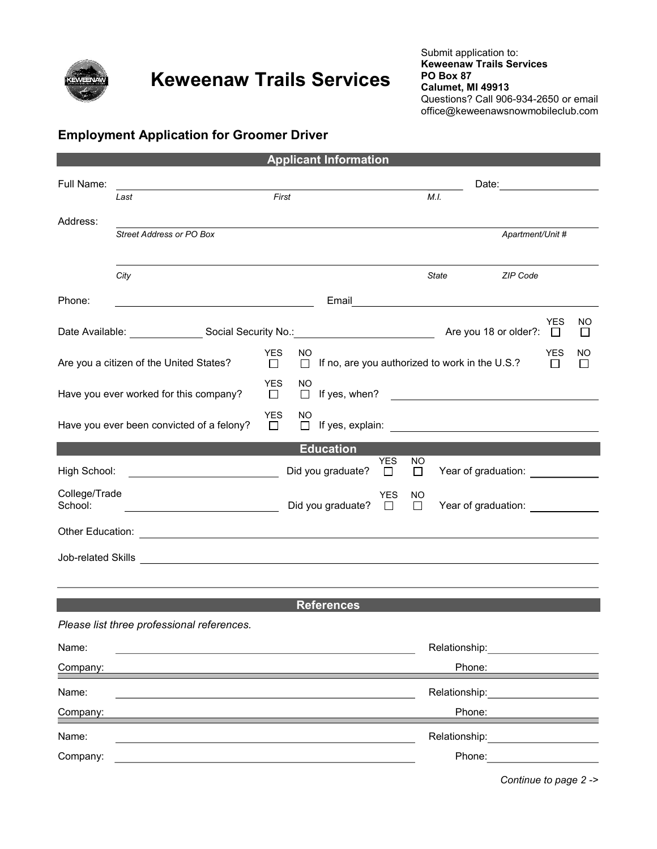

## Keweenaw Trails Services

### Employment Application for Groomer Driver

| <b>Applicant Information</b>            |                                                                                                                        |                                       |                          |      |               |                                                 |                   |               |  |  |  |
|-----------------------------------------|------------------------------------------------------------------------------------------------------------------------|---------------------------------------|--------------------------|------|---------------|-------------------------------------------------|-------------------|---------------|--|--|--|
| Full Name:                              |                                                                                                                        | Date: _________________               |                          |      |               |                                                 |                   |               |  |  |  |
|                                         | Last                                                                                                                   | First                                 |                          |      |               | M.I.                                            |                   |               |  |  |  |
| Address:                                |                                                                                                                        |                                       |                          |      |               |                                                 |                   |               |  |  |  |
|                                         | <b>Street Address or PO Box</b>                                                                                        |                                       |                          |      |               | Apartment/Unit #                                |                   |               |  |  |  |
|                                         |                                                                                                                        |                                       |                          |      |               |                                                 |                   |               |  |  |  |
|                                         | City                                                                                                                   |                                       |                          |      |               | State<br><b>ZIP Code</b>                        |                   |               |  |  |  |
| Phone:                                  | <u> 1980 - Johann Barn, fransk politik (d. 1980)</u>                                                                   |                                       |                          |      |               | Email <u>Communication of the Communication</u> |                   |               |  |  |  |
|                                         |                                                                                                                        |                                       |                          |      |               |                                                 | YES               | NO            |  |  |  |
|                                         |                                                                                                                        |                                       |                          |      |               | $\Box$<br>⊔                                     |                   |               |  |  |  |
| Are you a citizen of the United States? |                                                                                                                        | <b>YES</b><br>NO.<br>$\Box$<br>$\Box$ |                          |      |               | If no, are you authorized to work in the U.S.?  | <b>YES</b><br>l 1 | NO<br>$\perp$ |  |  |  |
| Have you ever worked for this company?  |                                                                                                                        | YES.<br>ΝO<br>$\Box$                  |                          |      |               |                                                 |                   |               |  |  |  |
|                                         | Have you ever been convicted of a felony?                                                                              | <b>YES</b><br>ΝO<br>$\Box$            |                          |      |               |                                                 |                   |               |  |  |  |
|                                         |                                                                                                                        |                                       |                          |      |               |                                                 |                   |               |  |  |  |
| <b>Education</b><br><b>YES</b><br>NO.   |                                                                                                                        |                                       |                          |      |               |                                                 |                   |               |  |  |  |
| High School:                            | <u> Alexandria (Carlo Carlo Carlo Carlo Carlo Carlo Carlo Carlo Carlo Carlo Carlo Carlo Carlo Carlo Carlo Carlo Ca</u> |                                       | Did you graduate? $\Box$ |      | $\Box$        | Year of graduation:                             |                   |               |  |  |  |
| College/Trade<br>School:                | <u>and the control of the control of the control of</u>                                                                |                                       | Did you graduate? $\Box$ | YES. | NO.<br>$\Box$ | Year of graduation:                             |                   |               |  |  |  |
|                                         |                                                                                                                        |                                       |                          |      |               |                                                 |                   |               |  |  |  |
|                                         |                                                                                                                        |                                       |                          |      |               |                                                 |                   |               |  |  |  |
|                                         |                                                                                                                        |                                       |                          |      |               |                                                 |                   |               |  |  |  |
|                                         |                                                                                                                        |                                       | <b>References</b>        |      |               |                                                 |                   |               |  |  |  |
|                                         | Please list three professional references.                                                                             |                                       |                          |      |               |                                                 |                   |               |  |  |  |
| Name:                                   |                                                                                                                        | Relationship:                         |                          |      |               |                                                 |                   |               |  |  |  |
| Company:                                |                                                                                                                        |                                       |                          |      |               | Phone:                                          |                   |               |  |  |  |
| Name:                                   |                                                                                                                        | Relationship:                         |                          |      |               |                                                 |                   |               |  |  |  |
| Company:                                |                                                                                                                        |                                       |                          |      |               | Phone:                                          |                   |               |  |  |  |
| Name:                                   |                                                                                                                        |                                       |                          |      |               | Relationship:                                   |                   |               |  |  |  |
| Company:                                |                                                                                                                        |                                       | Phone:                   |      |               |                                                 |                   |               |  |  |  |

Continue to page 2 ->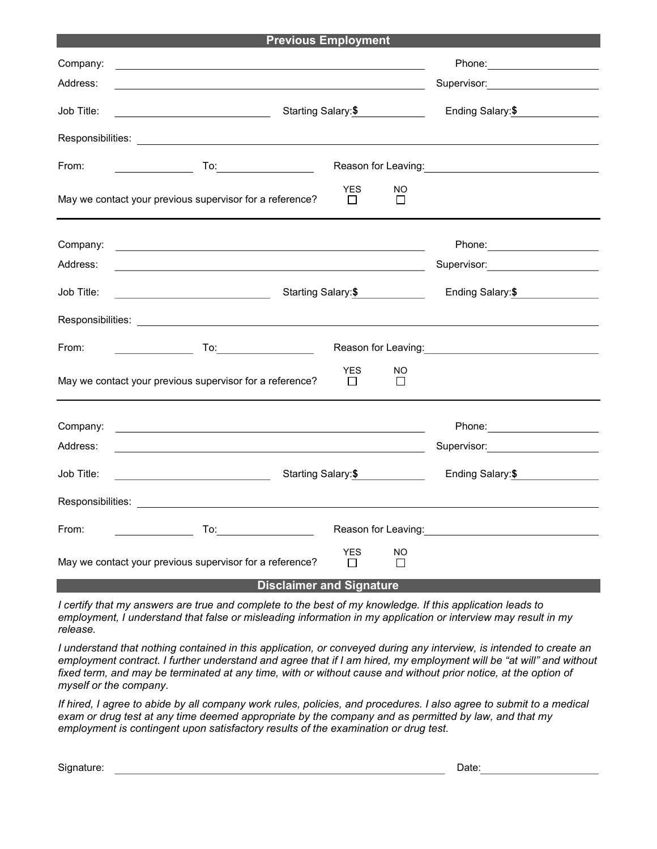| <b>Previous Employment</b>                                                                         |                                                                                                                                                                                                                                     |                                  |               |                                                                                                                                                                                                                                      |  |  |  |  |  |
|----------------------------------------------------------------------------------------------------|-------------------------------------------------------------------------------------------------------------------------------------------------------------------------------------------------------------------------------------|----------------------------------|---------------|--------------------------------------------------------------------------------------------------------------------------------------------------------------------------------------------------------------------------------------|--|--|--|--|--|
| Company:                                                                                           | and the control of the control of the control of the control of the control of the control of the control of the                                                                                                                    |                                  |               |                                                                                                                                                                                                                                      |  |  |  |  |  |
| Address:                                                                                           |                                                                                                                                                                                                                                     | Supervisor: New York Supervisor: |               |                                                                                                                                                                                                                                      |  |  |  |  |  |
| Job Title:                                                                                         | Starting Salary: \$<br><u> 1989 - Johann Barnett, fransk politiker (</u>                                                                                                                                                            | Ending Salary: \$                |               |                                                                                                                                                                                                                                      |  |  |  |  |  |
|                                                                                                    |                                                                                                                                                                                                                                     |                                  |               |                                                                                                                                                                                                                                      |  |  |  |  |  |
| From:                                                                                              |                                                                                                                                                                                                                                     |                                  |               | Reason for Leaving: <u>Contained and the series of the series of the series of the series of the series of the series of the series of the series of the series of the series of the series of the series of the series of the s</u> |  |  |  |  |  |
|                                                                                                    | May we contact your previous supervisor for a reference?                                                                                                                                                                            | <b>YES</b><br>$\perp$            | NO<br>$\perp$ |                                                                                                                                                                                                                                      |  |  |  |  |  |
| Company:                                                                                           | <u> 1989 - Johann Stein, fransk politik (f. 1989)</u>                                                                                                                                                                               |                                  |               |                                                                                                                                                                                                                                      |  |  |  |  |  |
| Address:                                                                                           |                                                                                                                                                                                                                                     |                                  |               | Supervisor: <b>Example 2018</b>                                                                                                                                                                                                      |  |  |  |  |  |
| Job Title:                                                                                         | Starting Salary:\$<br><u> 1989 - Johann Barbara, martin a</u>                                                                                                                                                                       | Ending Salary:\$                 |               |                                                                                                                                                                                                                                      |  |  |  |  |  |
|                                                                                                    |                                                                                                                                                                                                                                     |                                  |               |                                                                                                                                                                                                                                      |  |  |  |  |  |
| From:                                                                                              | <b>To:</b> the contract of the contract of the contract of the contract of the contract of the contract of the contract of the contract of the contract of the contract of the contract of the contract of the contract of the cont |                                  |               | Reason for Leaving: <b>Example 20</b> and the set of the set of the set of the set of the set of the set of the set of the set of the set of the set of the set of the set of the set of the set of the set of the set of the set o  |  |  |  |  |  |
| <b>YES</b><br>NO<br>May we contact your previous supervisor for a reference?<br>$\perp$<br>$\perp$ |                                                                                                                                                                                                                                     |                                  |               |                                                                                                                                                                                                                                      |  |  |  |  |  |
| Company:                                                                                           |                                                                                                                                                                                                                                     |                                  |               |                                                                                                                                                                                                                                      |  |  |  |  |  |
| Address:                                                                                           | <u> 1989 - Johann Stein, mars an deus Amerikaansk kommunister (</u>                                                                                                                                                                 |                                  |               | Supervisor: Victor Andrew Control Control Control Control Control Control Control Control Control Co                                                                                                                                 |  |  |  |  |  |
| Job Title:                                                                                         | Starting Salary:\$                                                                                                                                                                                                                  | Ending Salary: \$                |               |                                                                                                                                                                                                                                      |  |  |  |  |  |
|                                                                                                    |                                                                                                                                                                                                                                     |                                  |               |                                                                                                                                                                                                                                      |  |  |  |  |  |
| From:                                                                                              | To:___________________________                                                                                                                                                                                                      |                                  |               | Reason for Leaving: <u>__________________________</u>                                                                                                                                                                                |  |  |  |  |  |
|                                                                                                    | May we contact your previous supervisor for a reference?                                                                                                                                                                            | <b>YES</b><br>П                  | NO<br>П       |                                                                                                                                                                                                                                      |  |  |  |  |  |
| <b>Disclaimer and Signature</b>                                                                    |                                                                                                                                                                                                                                     |                                  |               |                                                                                                                                                                                                                                      |  |  |  |  |  |

I certify that my answers are true and complete to the best of my knowledge. If this application leads to employment, I understand that false or misleading information in my application or interview may result in my release.

I understand that nothing contained in this application, or conveyed during any interview, is intended to create an employment contract. I further understand and agree that if I am hired, my employment will be "at will" and without fixed term, and may be terminated at any time, with or without cause and without prior notice, at the option of myself or the company.

If hired, I agree to abide by all company work rules, policies, and procedures. I also agree to submit to a medical exam or drug test at any time deemed appropriate by the company and as permitted by law, and that my employment is contingent upon satisfactory results of the examination or drug test.

Signature: Date: Date: Date: Date: Date: Date: Date: Date: Date: Date: Date: Date: Date: Date: Date: Date: Date: Date: Date: Date: Date: Date: Date: Date: Date: Date: Date: Date: Date: Date: Date: Date: Date: Date: Date: D